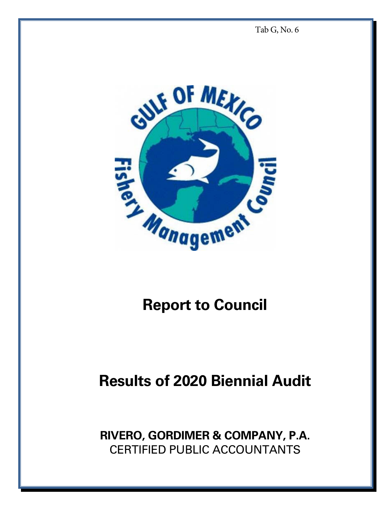Tab G, No. 6



## **Report to Council**

## **Results of 2020 Biennial Audit**

**RIVERO, GORDIMER & COMPANY, P.A.**  CERTIFIED PUBLIC ACCOUNTANTS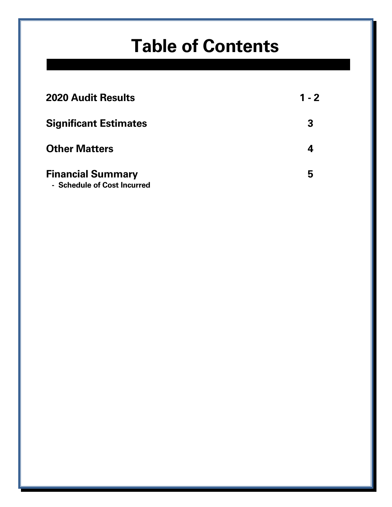## **Table of Contents**

| <b>2020 Audit Results</b>                               | $1 - 2$ |
|---------------------------------------------------------|---------|
| <b>Significant Estimates</b>                            | 3       |
| <b>Other Matters</b>                                    |         |
| <b>Financial Summary</b><br>- Schedule of Cost Incurred | 5       |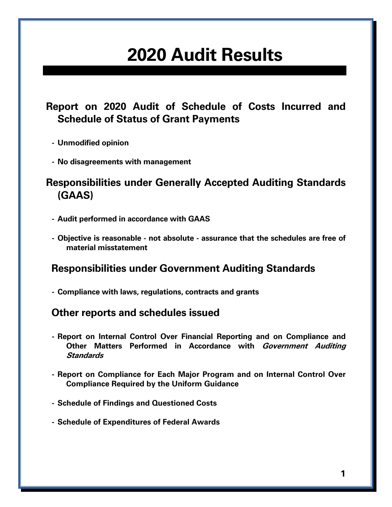## **2020 Audit Results**

#### **Report on 2020 Audit of Schedule of Costs Incurred and Schedule of Status of Grant Payments**

- **Unmodified opinion**
- **No disagreements with management**

#### **Responsibilities under Generally Accepted Auditing Standards (GAAS)**

- **Audit performed in accordance with GAAS**
- **Objective is reasonable not absolute assurance that the schedules are free of material misstatement**

#### **Responsibilities under Government Auditing Standards**

 **- Compliance with laws, regulations, contracts and grants** 

#### **Other reports and schedules issued**

- **Report on Internal Control Over Financial Reporting and on Compliance and Other Matters Performed in Accordance with Government Auditing Standards**
- **Report on Compliance for Each Major Program and on Internal Control Over Compliance Required by the Uniform Guidance**
- **Schedule of Findings and Questioned Costs**
- **Schedule of Expenditures of Federal Awards**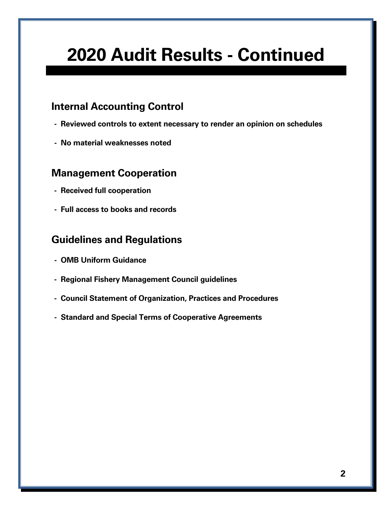## **2020 Audit Results - Continued**

#### **Internal Accounting Control**

- **Reviewed controls to extent necessary to render an opinion on schedules**
- **No material weaknesses noted**

#### **Management Cooperation**

- **Received full cooperation**
- **Full access to books and records**

#### **Guidelines and Regulations**

- **OMB Uniform Guidance**
- **Regional Fishery Management Council guidelines**
- **Council Statement of Organization, Practices and Procedures**
- **Standard and Special Terms of Cooperative Agreements**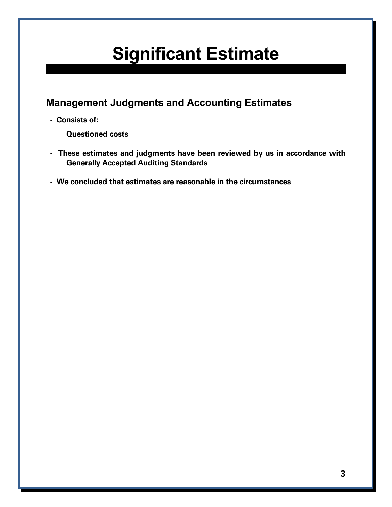# **Significant Estimate**

#### **Management Judgments and Accounting Estimates**

 **- Consists of:** 

 **Questioned costs** 

- **These estimates and judgments have been reviewed by us in accordance with Generally Accepted Auditing Standards**
- **We concluded that estimates are reasonable in the circumstances**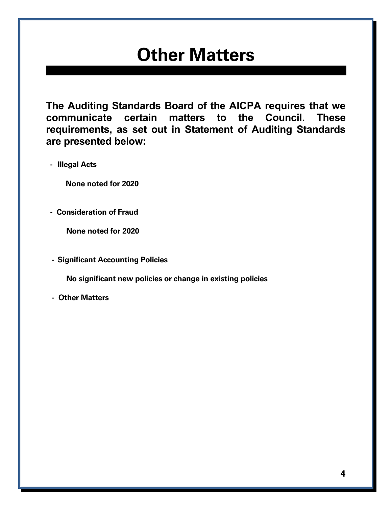## **Other Matters**

**The Auditing Standards Board of the AICPA requires that we communicate certain matters to the Council. These requirements, as set out in Statement of Auditing Standards are presented below:** 

 **- Illegal Acts** 

 **None noted for 2020** 

 **- Consideration of Fraud** 

 **None noted for 2020** 

 **- Significant Accounting Policies** 

 **No significant new policies or change in existing policies** 

 **- Other Matters**